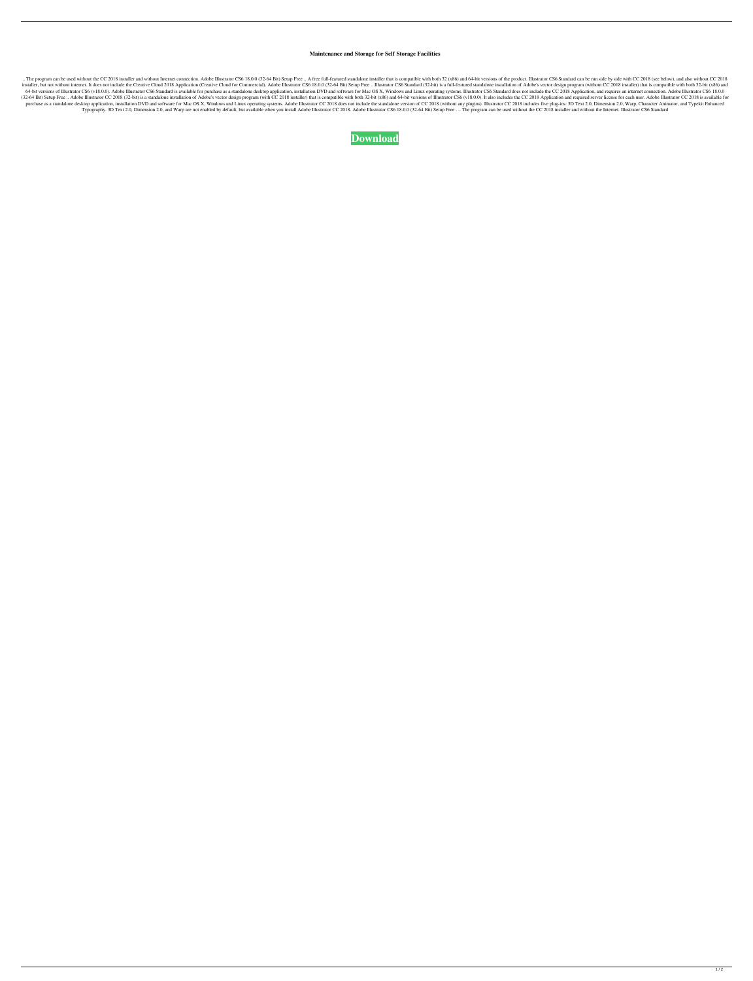## **Maintenance and Storage for Self Storage Facilities**

.. The program can be used without the CC 2018 installer and without Internet connection. Adobe Illustrator CS6 18.0.0 (32-64 Bit) Setup Free .. A free full-featured standalone installer that is compatible with both 32 (x8 installer, but not without internet. It does not include the Creative Cloud 2018 Application (Creative Cloud for Commercial). Adobe Illustrator CS6 18.0.0 (32-64 Bit) Setup Free .. Illustrator CS6 Standard (32-bit) is a fu 64-bit versions of Illustrator CS6 (v18.0.0). Adobe Illustrator CS6 Standard is available for purchase as a standalone desktop application, installation DVD and software for Mac OS X, Windows and Linux operating systems. I (32-64 Bit) Setup Free .. Adobe Illustrator CC 2018 (32-bit) is a standalone installation of Adobe's vector design program (with CC 2018 installer) that is compatible with both 32-bit (x86) and 64-bit versions of Illustrat purchase as a standalone desktop application, installation DVD and software for Mac OS X, Windows and Linux operating systems. Adobe Illustrator CC 2018 does not include the standalone version of CC 2018 (without any plugi Typography. 3D Text 2.0, Dimension 2.0, and Warp are not enabled by default, but available when you install Adobe Illustrator CC 2018. Adobe Illustrator CS6 18.0.0 (32-64 Bit) Setup Free . .. The program can be used withou